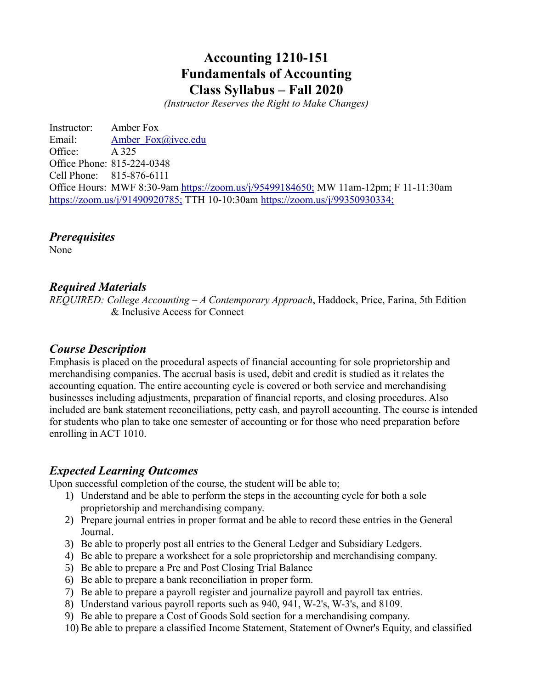# **Accounting 1210-151 Fundamentals of Accounting Class Syllabus – Fall 2020**

*(Instructor Reserves the Right to Make Changes)*

Instructor: Amber Fox Email: Amber Fox@ivcc.edu Office: A 325 Office Phone: 815-224-0348 Cell Phone: 815-876-6111 Office Hours: MWF 8:30-9am<https://zoom.us/j/95499184650;> MW 11am-12pm; F 11-11:30am <https://zoom.us/j/91490920785;> TTH 10-10:30am<https://zoom.us/j/99350930334;>

*Prerequisites*

None

#### *Required Materials*

*REQUIRED: College Accounting* – *A Contemporary Approach*, Haddock, Price, Farina, 5th Edition & Inclusive Access for Connect

### *Course Description*

Emphasis is placed on the procedural aspects of financial accounting for sole proprietorship and merchandising companies. The accrual basis is used, debit and credit is studied as it relates the accounting equation. The entire accounting cycle is covered or both service and merchandising businesses including adjustments, preparation of financial reports, and closing procedures. Also included are bank statement reconciliations, petty cash, and payroll accounting. The course is intended for students who plan to take one semester of accounting or for those who need preparation before enrolling in ACT 1010.

### *Expected Learning Outcomes*

Upon successful completion of the course, the student will be able to;

- 1) Understand and be able to perform the steps in the accounting cycle for both a sole proprietorship and merchandising company.
- 2) Prepare journal entries in proper format and be able to record these entries in the General Journal.
- 3) Be able to properly post all entries to the General Ledger and Subsidiary Ledgers.
- 4) Be able to prepare a worksheet for a sole proprietorship and merchandising company.
- 5) Be able to prepare a Pre and Post Closing Trial Balance
- 6) Be able to prepare a bank reconciliation in proper form.
- 7) Be able to prepare a payroll register and journalize payroll and payroll tax entries.
- 8) Understand various payroll reports such as 940, 941, W-2's, W-3's, and 8109.
- 9) Be able to prepare a Cost of Goods Sold section for a merchandising company.
- 10) Be able to prepare a classified Income Statement, Statement of Owner's Equity, and classified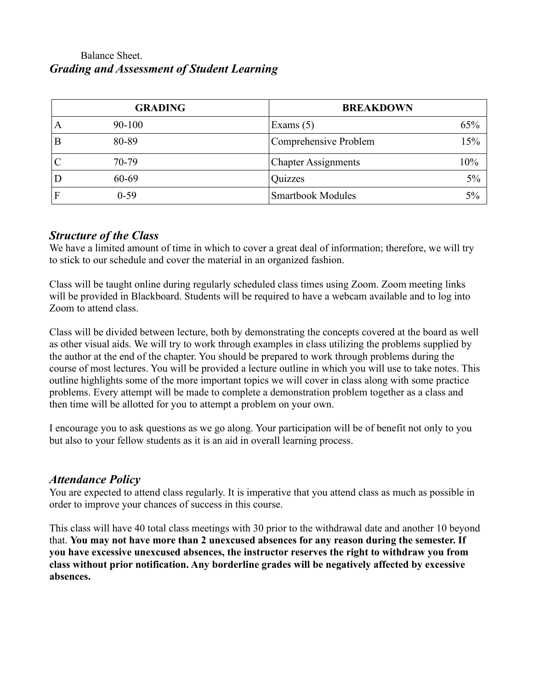## Balance Sheet. *Grading and Assessment of Student Learning*

|   | <b>GRADING</b> | <b>BREAKDOWN</b>           |     |
|---|----------------|----------------------------|-----|
| A | $90 - 100$     | Exams $(5)$                | 65% |
|   | 80-89          | Comprehensive Problem      | 15% |
|   | 70-79          | <b>Chapter Assignments</b> | 10% |
|   | 60-69          | Quizzes                    | 5%  |
|   | $0-59$         | <b>Smartbook Modules</b>   | 5%  |

## *Structure of the Class*

We have a limited amount of time in which to cover a great deal of information; therefore, we will try to stick to our schedule and cover the material in an organized fashion.

Class will be taught online during regularly scheduled class times using Zoom. Zoom meeting links will be provided in Blackboard. Students will be required to have a webcam available and to log into Zoom to attend class.

Class will be divided between lecture, both by demonstrating the concepts covered at the board as well as other visual aids. We will try to work through examples in class utilizing the problems supplied by the author at the end of the chapter. You should be prepared to work through problems during the course of most lectures. You will be provided a lecture outline in which you will use to take notes. This outline highlights some of the more important topics we will cover in class along with some practice problems. Every attempt will be made to complete a demonstration problem together as a class and then time will be allotted for you to attempt a problem on your own.

I encourage you to ask questions as we go along. Your participation will be of benefit not only to you but also to your fellow students as it is an aid in overall learning process.

### *Attendance Policy*

You are expected to attend class regularly. It is imperative that you attend class as much as possible in order to improve your chances of success in this course.

This class will have 40 total class meetings with 30 prior to the withdrawal date and another 10 beyond that. **You may not have more than 2 unexcused absences for any reason during the semester. If you have excessive unexcused absences, the instructor reserves the right to withdraw you from class without prior notification. Any borderline grades will be negatively affected by excessive absences.**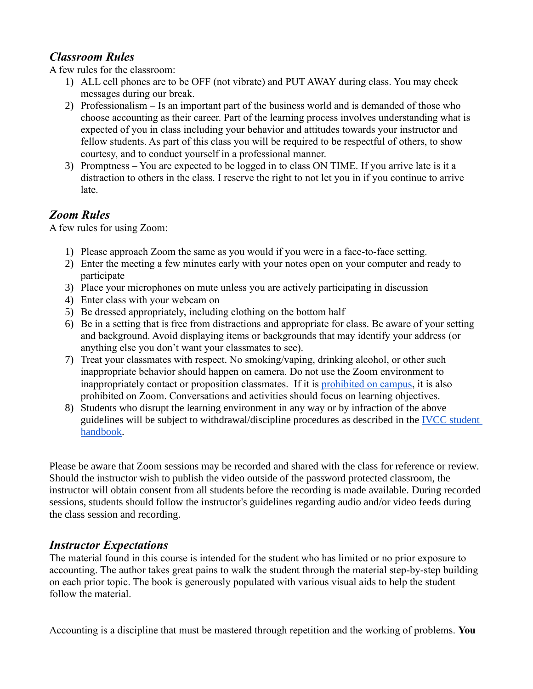## *Classroom Rules*

A few rules for the classroom:

- 1) ALL cell phones are to be OFF (not vibrate) and PUT AWAY during class. You may check messages during our break.
- 2) Professionalism Is an important part of the business world and is demanded of those who choose accounting as their career. Part of the learning process involves understanding what is expected of you in class including your behavior and attitudes towards your instructor and fellow students. As part of this class you will be required to be respectful of others, to show courtesy, and to conduct yourself in a professional manner.
- 3) Promptness You are expected to be logged in to class ON TIME. If you arrive late is it a distraction to others in the class. I reserve the right to not let you in if you continue to arrive late.

## *Zoom Rules*

A few rules for using Zoom:

- 1) Please approach Zoom the same as you would if you were in a face-to-face setting.
- 2) Enter the meeting a few minutes early with your notes open on your computer and ready to participate
- 3) Place your microphones on mute unless you are actively participating in discussion
- 4) Enter class with your webcam on
- 5) Be dressed appropriately, including clothing on the bottom half
- 6) Be in a setting that is free from distractions and appropriate for class. Be aware of your setting and background. Avoid displaying items or backgrounds that may identify your address (or anything else you don't want your classmates to see).
- 7) Treat your classmates with respect. No smoking/vaping, drinking alcohol, or other such inappropriate behavior should happen on camera. Do not use the Zoom environment to inappropriately contact or proposition classmates. If it is [prohibited on campus,](http://catalog.ivcc.edu/studentservices/studenthandbook/codeofconduct/) it is also prohibited on Zoom. Conversations and activities should focus on learning objectives.
- 8) Students who disrupt the learning environment in any way or by infraction of the above guidelines will be subject to withdrawal/discipline procedures as described in the [IVCC student](http://catalog.ivcc.edu/studentservices/studenthandbook/studentrightsandresponsibilities/)  [handbook.](http://catalog.ivcc.edu/studentservices/studenthandbook/studentrightsandresponsibilities/)

Please be aware that Zoom sessions may be recorded and shared with the class for reference or review. Should the instructor wish to publish the video outside of the password protected classroom, the instructor will obtain consent from all students before the recording is made available. During recorded sessions, students should follow the instructor's guidelines regarding audio and/or video feeds during the class session and recording.

### *Instructor Expectations*

The material found in this course is intended for the student who has limited or no prior exposure to accounting. The author takes great pains to walk the student through the material step-by-step building on each prior topic. The book is generously populated with various visual aids to help the student follow the material.

Accounting is a discipline that must be mastered through repetition and the working of problems. **You**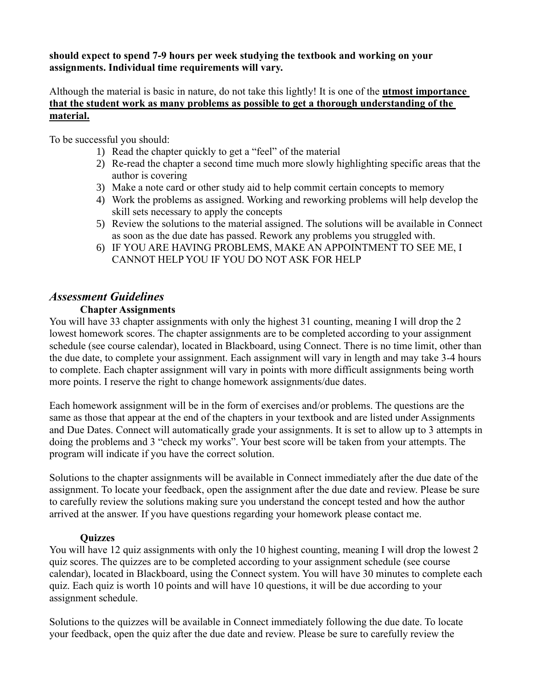#### **should expect to spend 7-9 hours per week studying the textbook and working on your assignments. Individual time requirements will vary.**

Although the material is basic in nature, do not take this lightly! It is one of the **utmost importance that the student work as many problems as possible to get a thorough understanding of the material.**

To be successful you should:

- 1) Read the chapter quickly to get a "feel" of the material
- 2) Re-read the chapter a second time much more slowly highlighting specific areas that the author is covering
- 3) Make a note card or other study aid to help commit certain concepts to memory
- 4) Work the problems as assigned. Working and reworking problems will help develop the skill sets necessary to apply the concepts
- 5) Review the solutions to the material assigned. The solutions will be available in Connect as soon as the due date has passed. Rework any problems you struggled with.
- 6) IF YOU ARE HAVING PROBLEMS, MAKE AN APPOINTMENT TO SEE ME, I CANNOT HELP YOU IF YOU DO NOT ASK FOR HELP

## *Assessment Guidelines*

#### **Chapter Assignments**

You will have 33 chapter assignments with only the highest 31 counting, meaning I will drop the 2 lowest homework scores. The chapter assignments are to be completed according to your assignment schedule (see course calendar), located in Blackboard, using Connect. There is no time limit, other than the due date, to complete your assignment. Each assignment will vary in length and may take 3-4 hours to complete. Each chapter assignment will vary in points with more difficult assignments being worth more points. I reserve the right to change homework assignments/due dates.

Each homework assignment will be in the form of exercises and/or problems. The questions are the same as those that appear at the end of the chapters in your textbook and are listed under Assignments and Due Dates. Connect will automatically grade your assignments. It is set to allow up to 3 attempts in doing the problems and 3 "check my works". Your best score will be taken from your attempts. The program will indicate if you have the correct solution.

Solutions to the chapter assignments will be available in Connect immediately after the due date of the assignment. To locate your feedback, open the assignment after the due date and review. Please be sure to carefully review the solutions making sure you understand the concept tested and how the author arrived at the answer. If you have questions regarding your homework please contact me.

#### **Quizzes**

You will have 12 quiz assignments with only the 10 highest counting, meaning I will drop the lowest 2 quiz scores. The quizzes are to be completed according to your assignment schedule (see course calendar), located in Blackboard, using the Connect system. You will have 30 minutes to complete each quiz. Each quiz is worth 10 points and will have 10 questions, it will be due according to your assignment schedule.

Solutions to the quizzes will be available in Connect immediately following the due date. To locate your feedback, open the quiz after the due date and review. Please be sure to carefully review the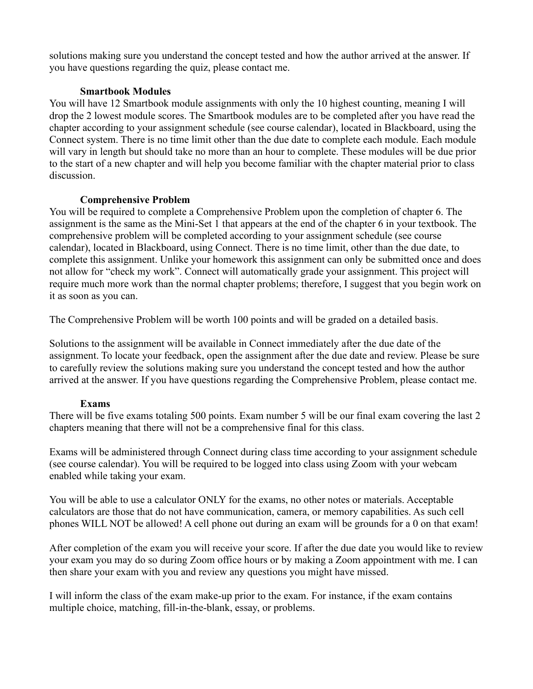solutions making sure you understand the concept tested and how the author arrived at the answer. If you have questions regarding the quiz, please contact me.

#### **Smartbook Modules**

You will have 12 Smartbook module assignments with only the 10 highest counting, meaning I will drop the 2 lowest module scores. The Smartbook modules are to be completed after you have read the chapter according to your assignment schedule (see course calendar), located in Blackboard, using the Connect system. There is no time limit other than the due date to complete each module. Each module will vary in length but should take no more than an hour to complete. These modules will be due prior to the start of a new chapter and will help you become familiar with the chapter material prior to class discussion.

#### **Comprehensive Problem**

You will be required to complete a Comprehensive Problem upon the completion of chapter 6. The assignment is the same as the Mini-Set 1 that appears at the end of the chapter 6 in your textbook. The comprehensive problem will be completed according to your assignment schedule (see course calendar), located in Blackboard, using Connect. There is no time limit, other than the due date, to complete this assignment. Unlike your homework this assignment can only be submitted once and does not allow for "check my work". Connect will automatically grade your assignment. This project will require much more work than the normal chapter problems; therefore, I suggest that you begin work on it as soon as you can.

The Comprehensive Problem will be worth 100 points and will be graded on a detailed basis.

Solutions to the assignment will be available in Connect immediately after the due date of the assignment. To locate your feedback, open the assignment after the due date and review. Please be sure to carefully review the solutions making sure you understand the concept tested and how the author arrived at the answer. If you have questions regarding the Comprehensive Problem, please contact me.

#### **Exams**

There will be five exams totaling 500 points. Exam number 5 will be our final exam covering the last 2 chapters meaning that there will not be a comprehensive final for this class.

Exams will be administered through Connect during class time according to your assignment schedule (see course calendar). You will be required to be logged into class using Zoom with your webcam enabled while taking your exam.

You will be able to use a calculator ONLY for the exams, no other notes or materials. Acceptable calculators are those that do not have communication, camera, or memory capabilities. As such cell phones WILL NOT be allowed! A cell phone out during an exam will be grounds for a 0 on that exam!

After completion of the exam you will receive your score. If after the due date you would like to review your exam you may do so during Zoom office hours or by making a Zoom appointment with me. I can then share your exam with you and review any questions you might have missed.

I will inform the class of the exam make-up prior to the exam. For instance, if the exam contains multiple choice, matching, fill-in-the-blank, essay, or problems.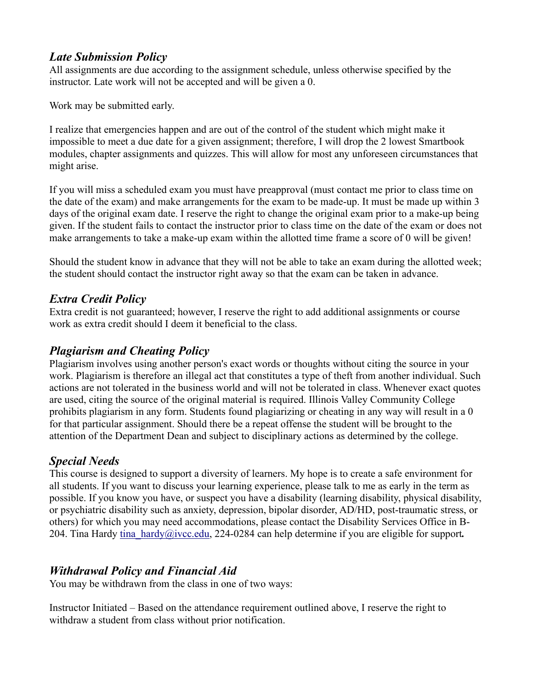## *Late Submission Policy*

All assignments are due according to the assignment schedule, unless otherwise specified by the instructor. Late work will not be accepted and will be given a 0.

Work may be submitted early.

I realize that emergencies happen and are out of the control of the student which might make it impossible to meet a due date for a given assignment; therefore, I will drop the 2 lowest Smartbook modules, chapter assignments and quizzes. This will allow for most any unforeseen circumstances that might arise.

If you will miss a scheduled exam you must have preapproval (must contact me prior to class time on the date of the exam) and make arrangements for the exam to be made-up. It must be made up within 3 days of the original exam date. I reserve the right to change the original exam prior to a make-up being given. If the student fails to contact the instructor prior to class time on the date of the exam or does not make arrangements to take a make-up exam within the allotted time frame a score of 0 will be given!

Should the student know in advance that they will not be able to take an exam during the allotted week; the student should contact the instructor right away so that the exam can be taken in advance.

## *Extra Credit Policy*

Extra credit is not guaranteed; however, I reserve the right to add additional assignments or course work as extra credit should I deem it beneficial to the class.

## *Plagiarism and Cheating Policy*

Plagiarism involves using another person's exact words or thoughts without citing the source in your work. Plagiarism is therefore an illegal act that constitutes a type of theft from another individual. Such actions are not tolerated in the business world and will not be tolerated in class. Whenever exact quotes are used, citing the source of the original material is required. Illinois Valley Community College prohibits plagiarism in any form. Students found plagiarizing or cheating in any way will result in a 0 for that particular assignment. Should there be a repeat offense the student will be brought to the attention of the Department Dean and subject to disciplinary actions as determined by the college.

## *Special Needs*

This course is designed to support a diversity of learners. My hope is to create a safe environment for all students. If you want to discuss your learning experience, please talk to me as early in the term as possible. If you know you have, or suspect you have a disability (learning disability, physical disability, or psychiatric disability such as anxiety, depression, bipolar disorder, AD/HD, post-traumatic stress, or others) for which you may need accommodations, please contact the Disability Services Office in B-204. Tina Hardy [tina\\_hardy@ivcc.edu,](mailto:tina_hardy@ivcc.edu) 224-0284 can help determine if you are eligible for support*.*

## *Withdrawal Policy and Financial Aid*

You may be withdrawn from the class in one of two ways:

Instructor Initiated – Based on the attendance requirement outlined above, I reserve the right to withdraw a student from class without prior notification.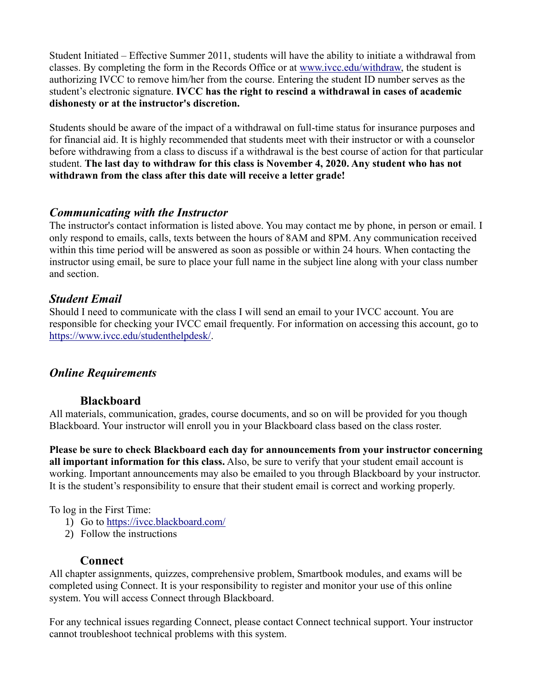Student Initiated – Effective Summer 2011, students will have the ability to initiate a withdrawal from classes. By completing the form in the Records Office or at [www.ivcc.edu/withdraw,](http://www.ivcc.edu/withdraw) the student is authorizing IVCC to remove him/her from the course. Entering the student ID number serves as the student's electronic signature. **IVCC has the right to rescind a withdrawal in cases of academic dishonesty or at the instructor's discretion.**

Students should be aware of the impact of a withdrawal on full-time status for insurance purposes and for financial aid. It is highly recommended that students meet with their instructor or with a counselor before withdrawing from a class to discuss if a withdrawal is the best course of action for that particular student. **The last day to withdraw for this class is November 4, 2020. Any student who has not withdrawn from the class after this date will receive a letter grade!**

## *Communicating with the Instructor*

The instructor's contact information is listed above. You may contact me by phone, in person or email. I only respond to emails, calls, texts between the hours of 8AM and 8PM. Any communication received within this time period will be answered as soon as possible or within 24 hours. When contacting the instructor using email, be sure to place your full name in the subject line along with your class number and section.

## *Student Email*

Should I need to communicate with the class I will send an email to your IVCC account. You are responsible for checking your IVCC email frequently. For information on accessing this account, go to [https://www.ivcc.edu/studenthelpdesk/.](https://www.ivcc.edu/studenthelpdesk/)

### *Online Requirements*

### **Blackboard**

All materials, communication, grades, course documents, and so on will be provided for you though Blackboard. Your instructor will enroll you in your Blackboard class based on the class roster.

**Please be sure to check Blackboard each day for announcements from your instructor concerning all important information for this class.** Also, be sure to verify that your student email account is working. Important announcements may also be emailed to you through Blackboard by your instructor. It is the student's responsibility to ensure that their student email is correct and working properly.

To log in the First Time:

- 1) Go to<https://ivcc.blackboard.com/>
- 2) Follow the instructions

### **Connect**

All chapter assignments, quizzes, comprehensive problem, Smartbook modules, and exams will be completed using Connect. It is your responsibility to register and monitor your use of this online system. You will access Connect through Blackboard.

For any technical issues regarding Connect, please contact Connect technical support. Your instructor cannot troubleshoot technical problems with this system.